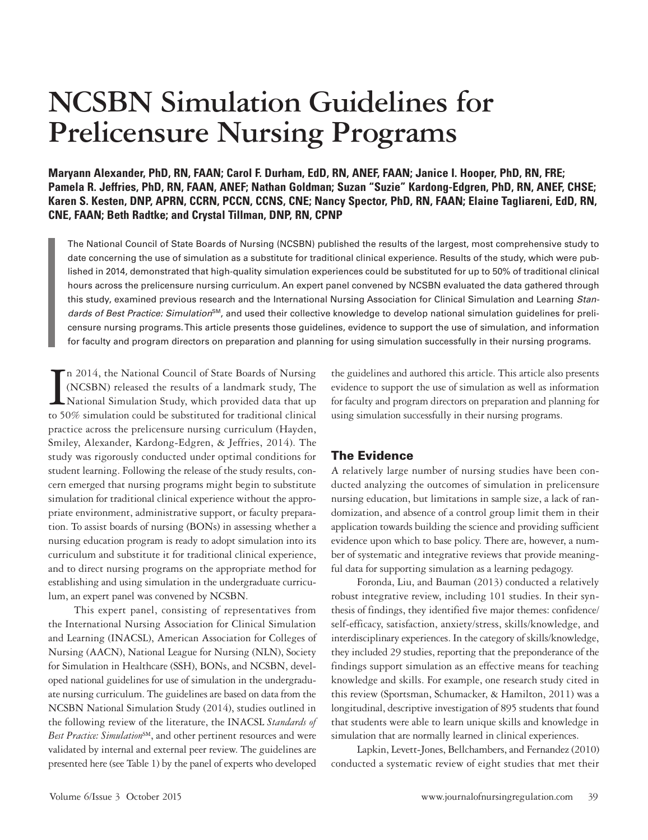# **NCSBN Simulation Guidelines for Prelicensure Nursing Programs**

**Maryann Alexander, PhD, RN, FAAN; Carol F. Durham, EdD, RN, ANEF, FAAN; Janice I. Hooper, PhD, RN, FRE; Pamela R. Jeffries, PhD, RN, FAAN, ANEF; Nathan Goldman; Suzan "Suzie" Kardong-Edgren, PhD, RN, ANEF, CHSE; Karen S. Kesten, DNP, APRN, CCRN, PCCN, CCNS, CNE; Nancy Spector, PhD, RN, FAAN; Elaine Tagliareni, EdD, RN, CNE, FAAN; Beth Radtke; and Crystal Tillman, DNP, RN, CPNP**

The National Council of State Boards of Nursing (NCSBN) published the results of the largest, most comprehensive study to date concerning the use of simulation as a substitute for traditional clinical experience. Results of the study, which were published in 2014, demonstrated that high-quality simulation experiences could be substituted for up to 50% of traditional clinical hours across the prelicensure nursing curriculum. An expert panel convened by NCSBN evaluated the data gathered through this study, examined previous research and the International Nursing Association for Clinical Simulation and Learning *Standards of Best Practice: Simulation*SM, and used their collective knowledge to develop national simulation guidelines for prelicensure nursing programs. This article presents those guidelines, evidence to support the use of simulation, and information for faculty and program directors on preparation and planning for using simulation successfully in their nursing programs.

In 2014, the National Council of State Boards of Nursing<br>(NCSBN) released the results of a landmark study, The<br>National Simulation Study, which provided data that up<br>to 50% simulation could be substituted for traditional c n 2014, the National Council of State Boards of Nursing (NCSBN) released the results of a landmark study, The National Simulation Study, which provided data that up practice across the prelicensure nursing curriculum (Hayden, Smiley, Alexander, Kardong-Edgren, & Jeffries, 2014). The study was rigorously conducted under optimal conditions for student learning. Following the release of the study results, concern emerged that nursing programs might begin to substitute simulation for traditional clinical experience without the appropriate environment, administrative support, or faculty preparation. To assist boards of nursing (BONs) in assessing whether a nursing education program is ready to adopt simulation into its curriculum and substitute it for traditional clinical experience, and to direct nursing programs on the appropriate method for establishing and using simulation in the undergraduate curriculum, an expert panel was convened by NCSBN.

This expert panel, consisting of representatives from the International Nursing Association for Clinical Simulation and Learning (INACSL), American Association for Colleges of Nursing (AACN), National League for Nursing (NLN), Society for Simulation in Healthcare (SSH), BONs, and NCSBN, developed national guidelines for use of simulation in the undergraduate nursing curriculum. The guidelines are based on data from the NCSBN National Simulation Study (2014), studies outlined in the following review of the literature, the INACSL *Standards of*  Best Practice: Simulation<sup>SM</sup>, and other pertinent resources and were validated by internal and external peer review. The guidelines are presented here (see Table 1) by the panel of experts who developed

the guidelines and authored this article. This article also presents evidence to support the use of simulation as well as information for faculty and program directors on preparation and planning for using simulation successfully in their nursing programs.

# The Evidence

A relatively large number of nursing studies have been conducted analyzing the outcomes of simulation in prelicensure nursing education, but limitations in sample size, a lack of randomization, and absence of a control group limit them in their application towards building the science and providing sufficient evidence upon which to base policy. There are, however, a number of systematic and integrative reviews that provide meaningful data for supporting simulation as a learning pedagogy.

Foronda, Liu, and Bauman (2013) conducted a relatively robust integrative review, including 101 studies. In their synthesis of findings, they identified five major themes: confidence/ self-efficacy, satisfaction, anxiety/stress, skills/knowledge, and interdisciplinary experiences. In the category of skills/knowledge, they included 29 studies, reporting that the preponderance of the findings support simulation as an effective means for teaching knowledge and skills. For example, one research study cited in this review (Sportsman, Schumacker, & Hamilton, 2011) was a longitudinal, descriptive investigation of 895 students that found that students were able to learn unique skills and knowledge in simulation that are normally learned in clinical experiences.

Lapkin, Levett-Jones, Bellchambers, and Fernandez (2010) conducted a systematic review of eight studies that met their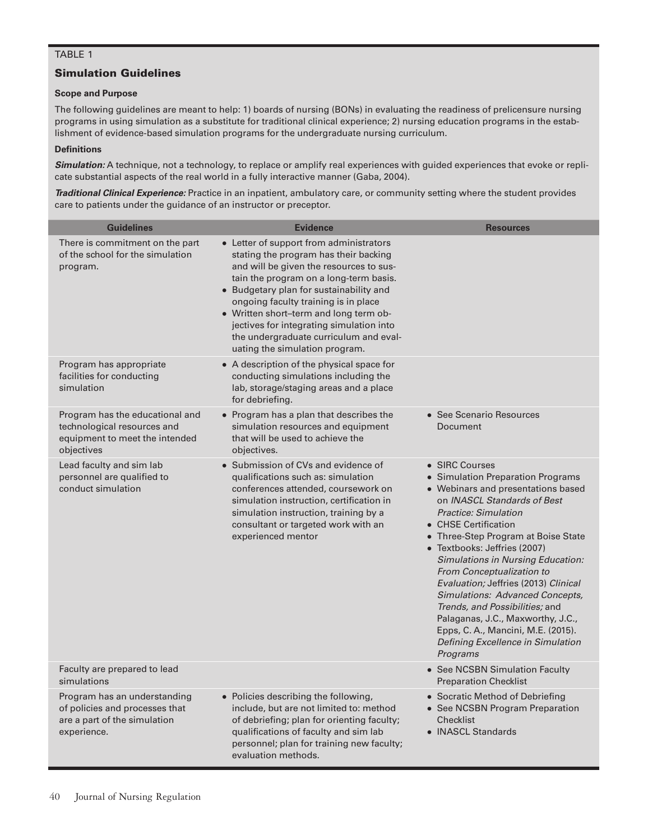## TABLE 1

### Simulation Guidelines

#### **Scope and Purpose**

The following guidelines are meant to help: 1) boards of nursing (BONs) in evaluating the readiness of prelicensure nursing programs in using simulation as a substitute for traditional clinical experience; 2) nursing education programs in the establishment of evidence-based simulation programs for the undergraduate nursing curriculum.

#### **Definitions**

**Simulation:** A technique, not a technology, to replace or amplify real experiences with guided experiences that evoke or replicate substantial aspects of the real world in a fully interactive manner (Gaba, 2004).

*Traditional Clinical Experience:* Practice in an inpatient, ambulatory care, or community setting where the student provides care to patients under the guidance of an instructor or preceptor.

| <b>Guidelines</b>                                                                                              | <b>Evidence</b>                                                                                                                                                                                                                                                                                                                                                                                                            | <b>Resources</b>                                                                                                                                                                                                                                                                                                                                                                                                                                                                                                                                                                       |
|----------------------------------------------------------------------------------------------------------------|----------------------------------------------------------------------------------------------------------------------------------------------------------------------------------------------------------------------------------------------------------------------------------------------------------------------------------------------------------------------------------------------------------------------------|----------------------------------------------------------------------------------------------------------------------------------------------------------------------------------------------------------------------------------------------------------------------------------------------------------------------------------------------------------------------------------------------------------------------------------------------------------------------------------------------------------------------------------------------------------------------------------------|
| There is commitment on the part<br>of the school for the simulation<br>program.                                | • Letter of support from administrators<br>stating the program has their backing<br>and will be given the resources to sus-<br>tain the program on a long-term basis.<br>• Budgetary plan for sustainability and<br>ongoing faculty training is in place<br>• Written short-term and long term ob-<br>jectives for integrating simulation into<br>the undergraduate curriculum and eval-<br>uating the simulation program. |                                                                                                                                                                                                                                                                                                                                                                                                                                                                                                                                                                                        |
| Program has appropriate<br>facilities for conducting<br>simulation                                             | • A description of the physical space for<br>conducting simulations including the<br>lab, storage/staging areas and a place<br>for debriefing.                                                                                                                                                                                                                                                                             |                                                                                                                                                                                                                                                                                                                                                                                                                                                                                                                                                                                        |
| Program has the educational and<br>technological resources and<br>equipment to meet the intended<br>objectives | • Program has a plan that describes the<br>simulation resources and equipment<br>that will be used to achieve the<br>objectives.                                                                                                                                                                                                                                                                                           | • See Scenario Resources<br>Document                                                                                                                                                                                                                                                                                                                                                                                                                                                                                                                                                   |
| Lead faculty and sim lab<br>personnel are qualified to<br>conduct simulation                                   | • Submission of CVs and evidence of<br>qualifications such as: simulation<br>conferences attended, coursework on<br>simulation instruction, certification in<br>simulation instruction, training by a<br>consultant or targeted work with an<br>experienced mentor                                                                                                                                                         | • SIRC Courses<br>• Simulation Preparation Programs<br>• Webinars and presentations based<br>on INASCL Standards of Best<br><b>Practice: Simulation</b><br>• CHSE Certification<br>• Three-Step Program at Boise State<br>• Textbooks: Jeffries (2007)<br><b>Simulations in Nursing Education:</b><br><b>From Conceptualization to</b><br>Evaluation; Jeffries (2013) Clinical<br><b>Simulations: Advanced Concepts,</b><br>Trends, and Possibilities; and<br>Palaganas, J.C., Maxworthy, J.C.,<br>Epps, C. A., Mancini, M.E. (2015).<br>Defining Excellence in Simulation<br>Programs |
| Faculty are prepared to lead<br>simulations                                                                    |                                                                                                                                                                                                                                                                                                                                                                                                                            | • See NCSBN Simulation Faculty<br><b>Preparation Checklist</b>                                                                                                                                                                                                                                                                                                                                                                                                                                                                                                                         |
| Program has an understanding<br>of policies and processes that<br>are a part of the simulation<br>experience.  | • Policies describing the following,<br>include, but are not limited to: method<br>of debriefing; plan for orienting faculty;<br>qualifications of faculty and sim lab<br>personnel; plan for training new faculty;<br>evaluation methods.                                                                                                                                                                                 | • Socratic Method of Debriefing<br>• See NCSBN Program Preparation<br>Checklist<br>• INASCL Standards                                                                                                                                                                                                                                                                                                                                                                                                                                                                                  |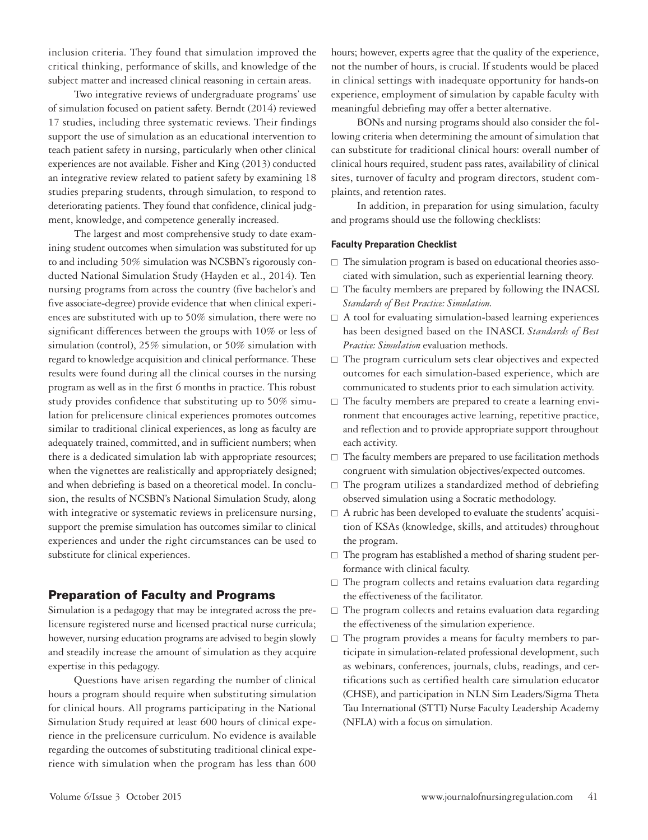inclusion criteria. They found that simulation improved the critical thinking, performance of skills, and knowledge of the subject matter and increased clinical reasoning in certain areas.

Two integrative reviews of undergraduate programs' use of simulation focused on patient safety. Berndt (2014) reviewed 17 studies, including three systematic reviews. Their findings support the use of simulation as an educational intervention to teach patient safety in nursing, particularly when other clinical experiences are not available. Fisher and King (2013) conducted an integrative review related to patient safety by examining 18 studies preparing students, through simulation, to respond to deteriorating patients. They found that confidence, clinical judgment, knowledge, and competence generally increased.

The largest and most comprehensive study to date examining student outcomes when simulation was substituted for up to and including 50% simulation was NCSBN's rigorously conducted National Simulation Study (Hayden et al., 2014). Ten nursing programs from across the country (five bachelor's and five associate-degree) provide evidence that when clinical experiences are substituted with up to 50% simulation, there were no significant differences between the groups with 10% or less of simulation (control), 25% simulation, or 50% simulation with regard to knowledge acquisition and clinical performance. These results were found during all the clinical courses in the nursing program as well as in the first 6 months in practice. This robust study provides confidence that substituting up to 50% simulation for prelicensure clinical experiences promotes outcomes similar to traditional clinical experiences, as long as faculty are adequately trained, committed, and in sufficient numbers; when there is a dedicated simulation lab with appropriate resources; when the vignettes are realistically and appropriately designed; and when debriefing is based on a theoretical model. In conclusion, the results of NCSBN's National Simulation Study, along with integrative or systematic reviews in prelicensure nursing, support the premise simulation has outcomes similar to clinical experiences and under the right circumstances can be used to substitute for clinical experiences.

# Preparation of Faculty and Programs

Simulation is a pedagogy that may be integrated across the prelicensure registered nurse and licensed practical nurse curricula; however, nursing education programs are advised to begin slowly and steadily increase the amount of simulation as they acquire expertise in this pedagogy.

Questions have arisen regarding the number of clinical hours a program should require when substituting simulation for clinical hours. All programs participating in the National Simulation Study required at least 600 hours of clinical experience in the prelicensure curriculum. No evidence is available regarding the outcomes of substituting traditional clinical experience with simulation when the program has less than 600 hours; however, experts agree that the quality of the experience, not the number of hours, is crucial. If students would be placed in clinical settings with inadequate opportunity for hands-on experience, employment of simulation by capable faculty with meaningful debriefing may offer a better alternative.

BONs and nursing programs should also consider the following criteria when determining the amount of simulation that can substitute for traditional clinical hours: overall number of clinical hours required, student pass rates, availability of clinical sites, turnover of faculty and program directors, student complaints, and retention rates.

In addition, in preparation for using simulation, faculty and programs should use the following checklists:

#### **Faculty Preparation Checklist**

- $\square$  The simulation program is based on educational theories associated with simulation, such as experiential learning theory.
- $\square$  The faculty members are prepared by following the INACSL *Standards of Best Practice: Simulation.*
- $\Box$  A tool for evaluating simulation-based learning experiences has been designed based on the INASCL *Standards of Best Practice: Simulation* evaluation methods.
- $\square$  The program curriculum sets clear objectives and expected outcomes for each simulation-based experience, which are communicated to students prior to each simulation activity.
- $\square$  The faculty members are prepared to create a learning environment that encourages active learning, repetitive practice, and reflection and to provide appropriate support throughout each activity.
- $\square$  The faculty members are prepared to use facilitation methods congruent with simulation objectives/expected outcomes.
- $\square$  The program utilizes a standardized method of debriefing observed simulation using a Socratic methodology.
- $\Box$  A rubric has been developed to evaluate the students' acquisition of KSAs (knowledge, skills, and attitudes) throughout the program.
- $\square$  The program has established a method of sharing student performance with clinical faculty.
- $\square$  The program collects and retains evaluation data regarding the effectiveness of the facilitator.
- $\square$  The program collects and retains evaluation data regarding the effectiveness of the simulation experience.
- $\square$  The program provides a means for faculty members to participate in simulation-related professional development, such as webinars, conferences, journals, clubs, readings, and certifications such as certified health care simulation educator (CHSE), and participation in NLN Sim Leaders/Sigma Theta Tau International (STTI) Nurse Faculty Leadership Academy (NFLA) with a focus on simulation.